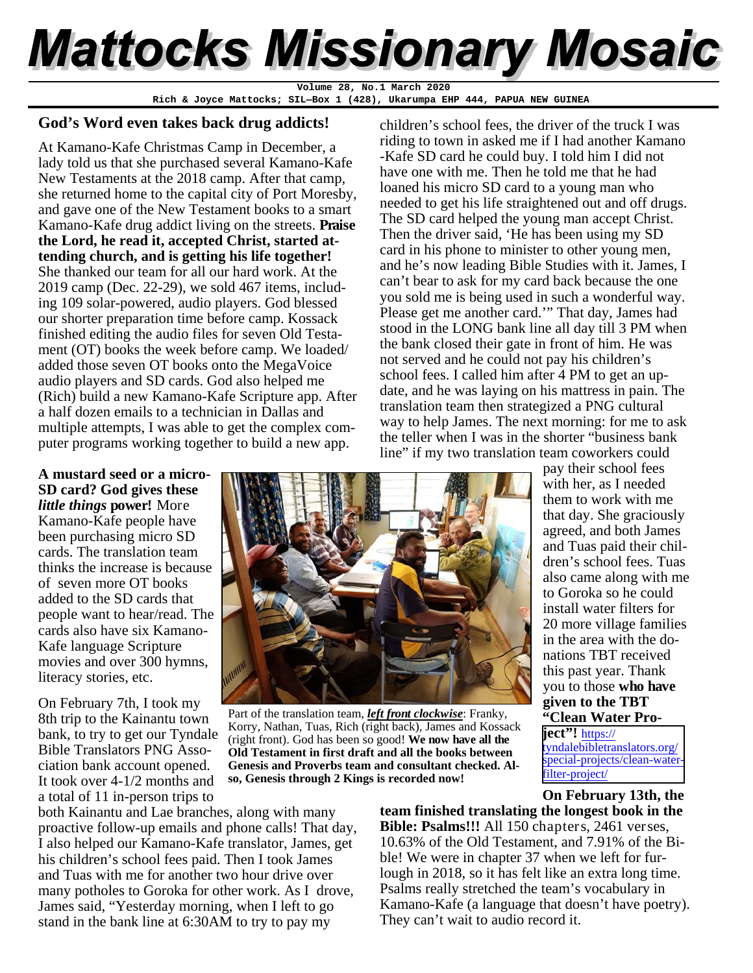# **Mattocks Missionary Mosaic**

**Rich & Joyce Mattocks; SIL—Box 1 (428), Ukarumpa EHP 444, PAPUA NEW GUINEA Volume 28, No.1 March 2020** 

# **God's Word even takes back drug addicts!**

At Kamano-Kafe Christmas Camp in December, a lady told us that she purchased several Kamano-Kafe New Testaments at the 2018 camp. After that camp, she returned home to the capital city of Port Moresby, and gave one of the New Testament books to a smart Kamano-Kafe drug addict living on the streets. **Praise the Lord, he read it, accepted Christ, started attending church, and is getting his life together!**  She thanked our team for all our hard work. At the 2019 camp (Dec. 22-29), we sold 467 items, including 109 solar-powered, audio players. God blessed our shorter preparation time before camp. Kossack finished editing the audio files for seven Old Testament (OT) books the week before camp. We loaded/ added those seven OT books onto the MegaVoice audio players and SD cards. God also helped me (Rich) build a new Kamano-Kafe Scripture app. After a half dozen emails to a technician in Dallas and multiple attempts, I was able to get the complex computer programs working together to build a new app.

**A mustard seed or a micro-SD card? God gives these**  *little things* **power!** More Kamano-Kafe people have been purchasing micro SD cards. The translation team thinks the increase is because of seven more OT books added to the SD cards that people want to hear/read. The cards also have six Kamano-Kafe language Scripture movies and over 300 hymns,

literacy stories, etc.

On February 7th, I took my 8th trip to the Kainantu town bank, to try to get our Tyndale Bible Translators PNG Association bank account opened. It took over 4-1/2 months and a total of 11 in-person trips to

children's school fees, the driver of the truck I was riding to town in asked me if I had another Kamano -Kafe SD card he could buy. I told him I did not have one with me. Then he told me that he had loaned his micro SD card to a young man who needed to get his life straightened out and off drugs. The SD card helped the young man accept Christ. Then the driver said, 'He has been using my SD card in his phone to minister to other young men, and he's now leading Bible Studies with it. James, I can't bear to ask for my card back because the one you sold me is being used in such a wonderful way. Please get me another card.'" That day, James had stood in the LONG bank line all day till 3 PM when the bank closed their gate in front of him. He was not served and he could not pay his children's school fees. I called him after 4 PM to get an update, and he was laying on his mattress in pain. The translation team then strategized a PNG cultural way to help James. The next morning: for me to ask the teller when I was in the shorter "business bank line" if my two translation team coworkers could

pay their school fees with her, as I needed them to work with me that day. She graciously agreed, and both James and Tuas paid their children's school fees. Tuas also came along with me to Goroka so he could install water filters for 20 more village families in the area with the donations TBT received this past year. Thank you to those **who have given to the TBT "Clean Water Project"!** https://

tyndalebibletranslators.org/ [special-projects/clean-water-](https://tyndalebibletranslators.org/special-projects/clean-water-filter-project/)

both Kainantu and Lae branches, along with many proactive follow-up emails and phone calls! That day, I also helped our Kamano-Kafe translator, James, get his children's school fees paid. Then I took James and Tuas with me for another two hour drive over many potholes to Goroka for other work. As I drove, James said, "Yesterday morning, when I left to go stand in the bank line at 6:30AM to try to pay my

**team finished translating the longest book in the Bible: Psalms!!!** All 150 chapters, 2461 verses, 10.63% of the Old Testament, and 7.91% of the Bible! We were in chapter 37 when we left for furlough in 2018, so it has felt like an extra long time. Psalms really stretched the team's vocabulary in Kamano-Kafe (a language that doesn't have poetry). They can't wait to audio record it.



Part of the translation team, *left front clockwise*: Franky, Korry, Nathan, Tuas, Rich (right back), James and Kossack (right front). God has been so good! **We now have all the Old Testament in first draft and all the books between Genesis and Proverbs team and consultant checked. Also, Genesis through 2 Kings is recorded now!** 

filter-project/ **On February 13th, the**